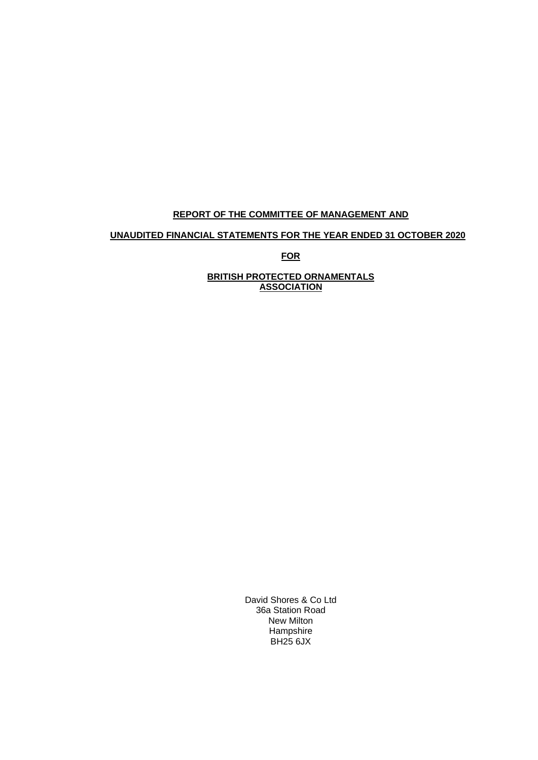# **REPORT OF THE COMMITTEE OF MANAGEMENT AND**

# **UNAUDITED FINANCIAL STATEMENTS FOR THE YEAR ENDED 31 OCTOBER 2020**

**FOR**

**BRITISH PROTECTED ORNAMENTALS ASSOCIATION**

> David Shores & Co Ltd 36a Station Road New Milton **Hampshire** BH25 6JX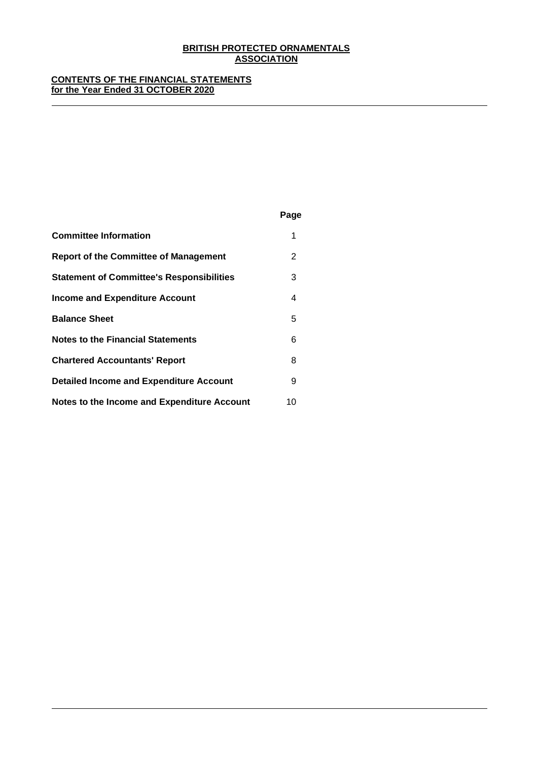## **CONTENTS OF THE FINANCIAL STATEMENTS for the Year Ended 31 OCTOBER 2020**

|                                                  | Page |
|--------------------------------------------------|------|
| <b>Committee Information</b>                     | 1    |
| <b>Report of the Committee of Management</b>     | 2    |
| <b>Statement of Committee's Responsibilities</b> | 3    |
| <b>Income and Expenditure Account</b>            | 4    |
| <b>Balance Sheet</b>                             | 5    |
| <b>Notes to the Financial Statements</b>         | 6    |
| <b>Chartered Accountants' Report</b>             | 8    |
| <b>Detailed Income and Expenditure Account</b>   | 9    |
| Notes to the Income and Expenditure Account      | 10   |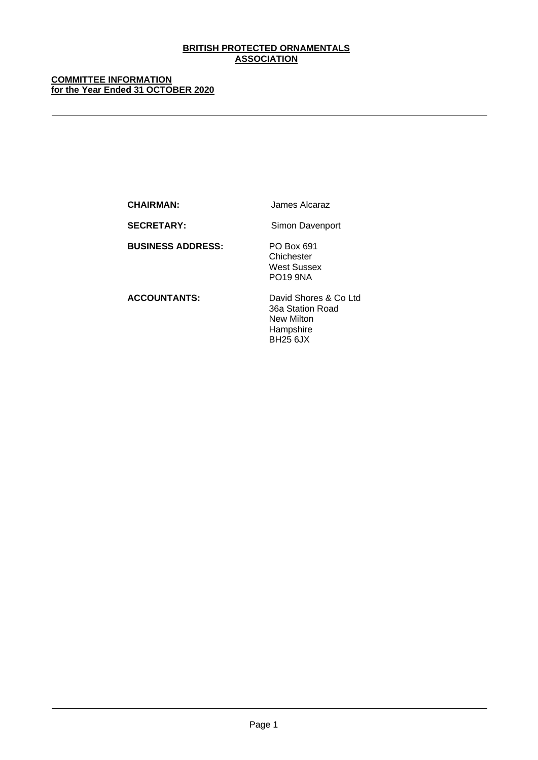## **COMMITTEE INFORMATION for the Year Ended 31 OCTOBER 2020**

**CHAIRMAN:** James Alcaraz

SECRETARY: Simon Davenport

**BUSINESS ADDRESS:** PO Box 691

**Chichester** West Sussex PO19 9NA

**ACCOUNTANTS:** David Shores & Co Ltd 36a Station Road New Milton Hampshire BH25 6JX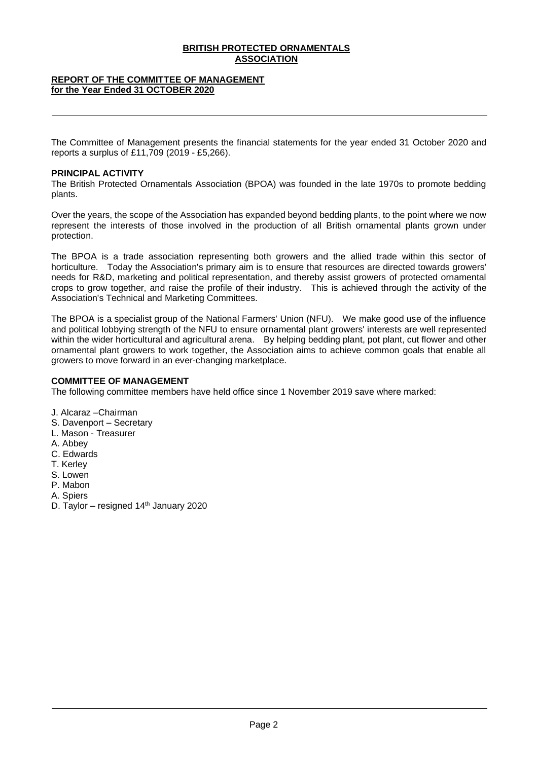## **REPORT OF THE COMMITTEE OF MANAGEMENT for the Year Ended 31 OCTOBER 2020**

The Committee of Management presents the financial statements for the year ended 31 October 2020 and reports a surplus of £11,709 (2019 - £5,266).

## **PRINCIPAL ACTIVITY**

The British Protected Ornamentals Association (BPOA) was founded in the late 1970s to promote bedding plants.

Over the years, the scope of the Association has expanded beyond bedding plants, to the point where we now represent the interests of those involved in the production of all British ornamental plants grown under protection.

The BPOA is a trade association representing both growers and the allied trade within this sector of horticulture. Today the Association's primary aim is to ensure that resources are directed towards growers' needs for R&D, marketing and political representation, and thereby assist growers of protected ornamental crops to grow together, and raise the profile of their industry. This is achieved through the activity of the Association's Technical and Marketing Committees.

The BPOA is a specialist group of the National Farmers' Union (NFU). We make good use of the influence and political lobbying strength of the NFU to ensure ornamental plant growers' interests are well represented within the wider horticultural and agricultural arena. By helping bedding plant, pot plant, cut flower and other ornamental plant growers to work together, the Association aims to achieve common goals that enable all growers to move forward in an ever-changing marketplace.

#### **COMMITTEE OF MANAGEMENT**

The following committee members have held office since 1 November 2019 save where marked:

- J. Alcaraz –Chairman
- S. Davenport Secretary
- L. Mason Treasurer
- A. Abbey
- C. Edwards
- T. Kerley
- S. Lowen
- P. Mabon
- A. Spiers
- D. Taylor resigned  $14<sup>th</sup>$  January 2020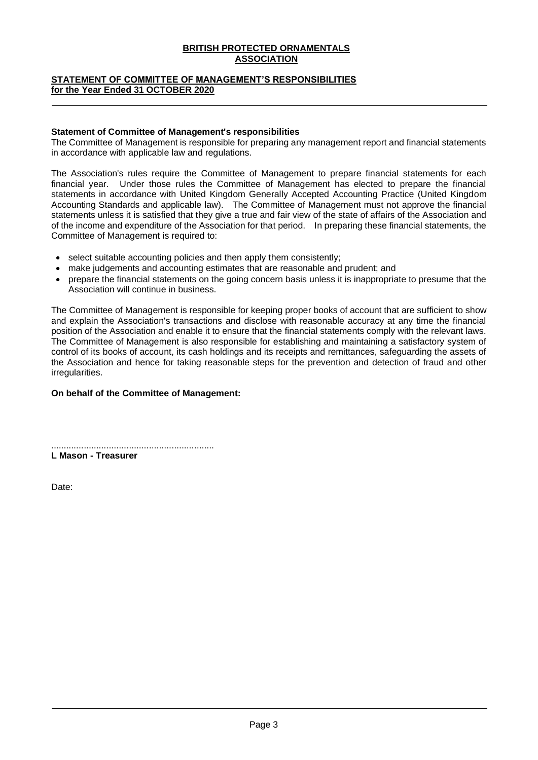## **STATEMENT OF COMMITTEE OF MANAGEMENT'S RESPONSIBILITIES for the Year Ended 31 OCTOBER 2020**

## **Statement of Committee of Management's responsibilities**

The Committee of Management is responsible for preparing any management report and financial statements in accordance with applicable law and regulations.

The Association's rules require the Committee of Management to prepare financial statements for each financial year. Under those rules the Committee of Management has elected to prepare the financial statements in accordance with United Kingdom Generally Accepted Accounting Practice (United Kingdom Accounting Standards and applicable law). The Committee of Management must not approve the financial statements unless it is satisfied that they give a true and fair view of the state of affairs of the Association and of the income and expenditure of the Association for that period. In preparing these financial statements, the Committee of Management is required to:

- select suitable accounting policies and then apply them consistently;
- make judgements and accounting estimates that are reasonable and prudent; and
- prepare the financial statements on the going concern basis unless it is inappropriate to presume that the Association will continue in business.

The Committee of Management is responsible for keeping proper books of account that are sufficient to show and explain the Association's transactions and disclose with reasonable accuracy at any time the financial position of the Association and enable it to ensure that the financial statements comply with the relevant laws. The Committee of Management is also responsible for establishing and maintaining a satisfactory system of control of its books of account, its cash holdings and its receipts and remittances, safeguarding the assets of the Association and hence for taking reasonable steps for the prevention and detection of fraud and other irregularities.

## **On behalf of the Committee of Management:**

................................................................. **L Mason - Treasurer**

Date: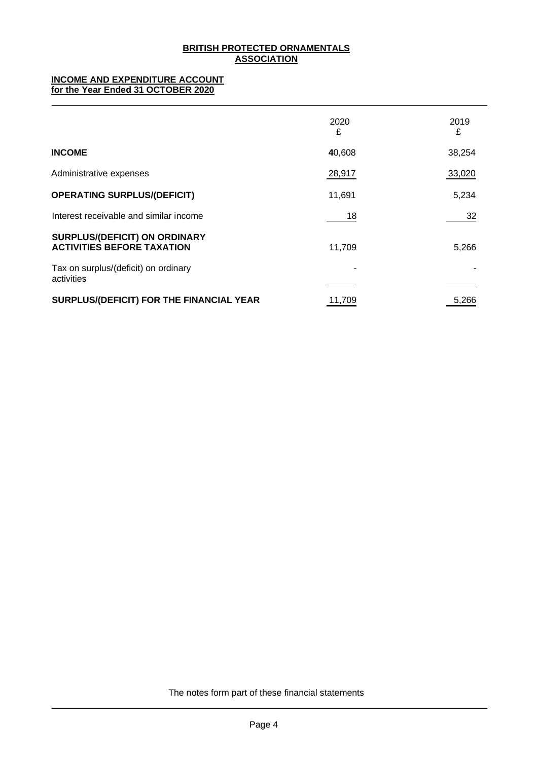## **INCOME AND EXPENDITURE ACCOUNT for the Year Ended 31 OCTOBER 2020**

|                                                                           | 2020<br>£ | 2019<br>£ |
|---------------------------------------------------------------------------|-----------|-----------|
| <b>INCOME</b>                                                             | 40,608    | 38,254    |
| Administrative expenses                                                   | 28,917    | 33,020    |
| <b>OPERATING SURPLUS/(DEFICIT)</b>                                        | 11,691    | 5,234     |
| Interest receivable and similar income                                    | 18        | 32        |
| <b>SURPLUS/(DEFICIT) ON ORDINARY</b><br><b>ACTIVITIES BEFORE TAXATION</b> | 11,709    | 5,266     |
| Tax on surplus/(deficit) on ordinary<br>activities                        |           |           |
| SURPLUS/(DEFICIT) FOR THE FINANCIAL YEAR                                  | 11,709    | 5,266     |

The notes form part of these financial statements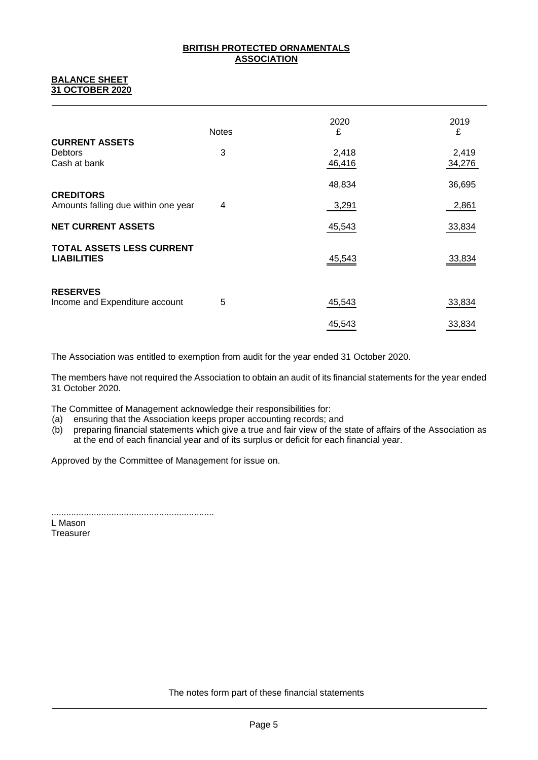## **BALANCE SHEET 31 OCTOBER 2020**

|                                                         | <b>Notes</b> | 2020<br>£       | 2019<br>£       |
|---------------------------------------------------------|--------------|-----------------|-----------------|
| <b>CURRENT ASSETS</b><br><b>Debtors</b><br>Cash at bank | 3            | 2,418<br>46,416 | 2,419<br>34,276 |
| <b>CREDITORS</b>                                        |              | 48,834          | 36,695          |
| Amounts falling due within one year                     | 4            | 3,291           | 2,861           |
| <b>NET CURRENT ASSETS</b>                               |              | 45,543          | 33,834          |
| <b>TOTAL ASSETS LESS CURRENT</b><br><b>LIABILITIES</b>  |              | 45,543          | 33,834          |
| <b>RESERVES</b><br>Income and Expenditure account       | 5            | 45,543          | 33,834          |
|                                                         |              | 45,543          | 33,834          |

The Association was entitled to exemption from audit for the year ended 31 October 2020.

The members have not required the Association to obtain an audit of its financial statements for the year ended 31 October 2020.

The Committee of Management acknowledge their responsibilities for:

- (a) ensuring that the Association keeps proper accounting records; and
- (b) preparing financial statements which give a true and fair view of the state of affairs of the Association as at the end of each financial year and of its surplus or deficit for each financial year.

Approved by the Committee of Management for issue on.

................................................................. L Mason

**Treasurer**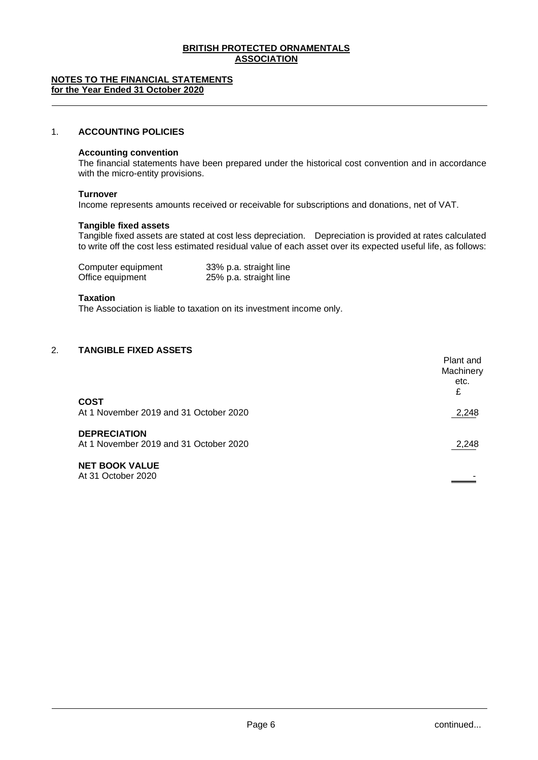#### **NOTES TO THE FINANCIAL STATEMENTS for the Year Ended 31 October 2020**

## 1. **ACCOUNTING POLICIES**

## **Accounting convention**

The financial statements have been prepared under the historical cost convention and in accordance with the micro-entity provisions.

#### **Turnover**

Income represents amounts received or receivable for subscriptions and donations, net of VAT.

#### **Tangible fixed assets**

Tangible fixed assets are stated at cost less depreciation. Depreciation is provided at rates calculated to write off the cost less estimated residual value of each asset over its expected useful life, as follows:

| Computer equipment |  | 33% p.a. straight line |
|--------------------|--|------------------------|
| Office equipment   |  | 25% p.a. straight line |

#### **Taxation**

The Association is liable to taxation on its investment income only.

## 2. **TANGIBLE FIXED ASSETS**

|                                                               | Plant and<br>Machinery<br>etc.<br>£ |
|---------------------------------------------------------------|-------------------------------------|
| <b>COST</b><br>At 1 November 2019 and 31 October 2020         | 2,248                               |
| <b>DEPRECIATION</b><br>At 1 November 2019 and 31 October 2020 | 2,248                               |
| <b>NET BOOK VALUE</b><br>At 31 October 2020                   |                                     |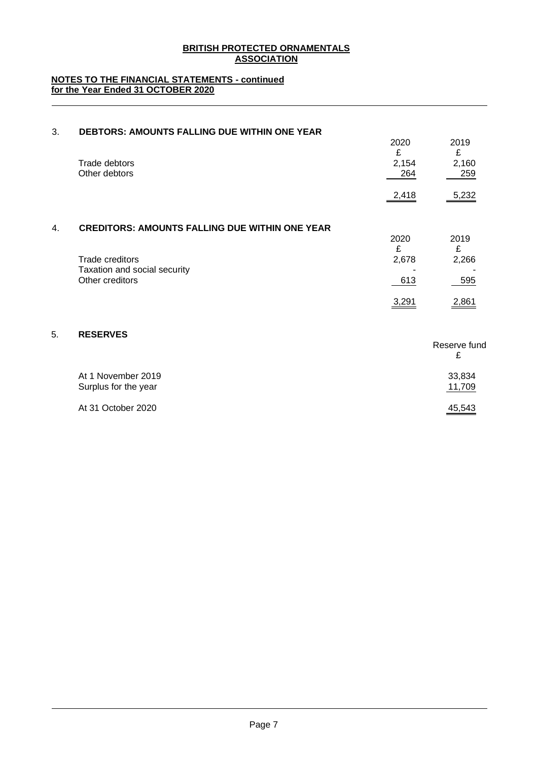## **NOTES TO THE FINANCIAL STATEMENTS - continued for the Year Ended 31 OCTOBER 2020**

| 3. | <b>DEBTORS: AMOUNTS FALLING DUE WITHIN ONE YEAR</b>                | 2020              | 2019              |
|----|--------------------------------------------------------------------|-------------------|-------------------|
|    | Trade debtors<br>Other debtors                                     | £<br>2,154<br>264 | £<br>2,160<br>259 |
|    |                                                                    | 2,418             | 5,232             |
| 4. | <b>CREDITORS: AMOUNTS FALLING DUE WITHIN ONE YEAR</b>              | 2020              | 2019              |
|    | Trade creditors<br>Taxation and social security<br>Other creditors | £<br>2,678<br>613 | £<br>2,266<br>595 |
|    |                                                                    | 3,291             | 2,861             |
| 5. | <b>RESERVES</b>                                                    |                   |                   |
|    |                                                                    |                   | Reserve fund<br>£ |
|    | $A + A$ $A + \ldots$ $A + \ldots$ $A + A$                          |                   | 00.001            |

| At 1 November 2019   | 33.834        |
|----------------------|---------------|
| Surplus for the year | <u>11,709</u> |
| At 31 October 2020   | 45,543        |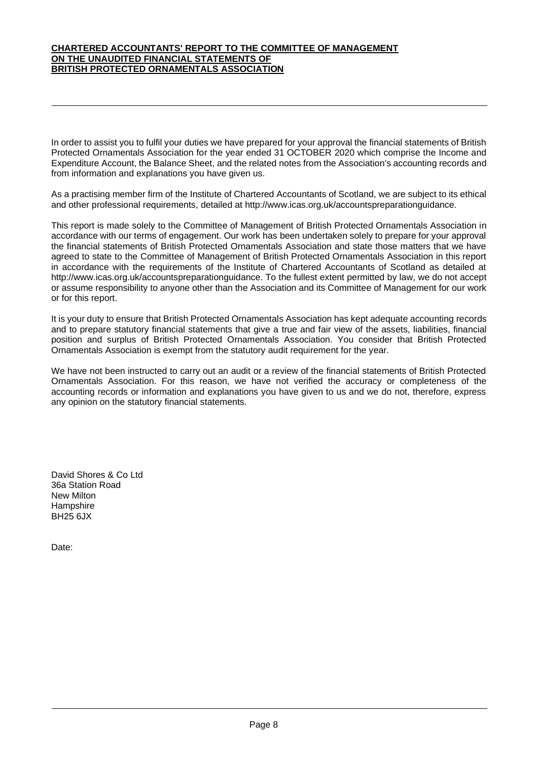#### **CHARTERED ACCOUNTANTS' REPORT TO THE COMMITTEE OF MANAGEMENT ON THE UNAUDITED FINANCIAL STATEMENTS OF BRITISH PROTECTED ORNAMENTALS ASSOCIATION**

In order to assist you to fulfil your duties we have prepared for your approval the financial statements of British Protected Ornamentals Association for the year ended 31 OCTOBER 2020 which comprise the Income and Expenditure Account, the Balance Sheet, and the related notes from the Association's accounting records and from information and explanations you have given us.

As a practising member firm of the Institute of Chartered Accountants of Scotland, we are subject to its ethical and other professional requirements, detailed at http://www.icas.org.uk/accountspreparationguidance.

This report is made solely to the Committee of Management of British Protected Ornamentals Association in accordance with our terms of engagement. Our work has been undertaken solely to prepare for your approval the financial statements of British Protected Ornamentals Association and state those matters that we have agreed to state to the Committee of Management of British Protected Ornamentals Association in this report in accordance with the requirements of the Institute of Chartered Accountants of Scotland as detailed at http://www.icas.org.uk/accountspreparationguidance. To the fullest extent permitted by law, we do not accept or assume responsibility to anyone other than the Association and its Committee of Management for our work or for this report.

It is your duty to ensure that British Protected Ornamentals Association has kept adequate accounting records and to prepare statutory financial statements that give a true and fair view of the assets, liabilities, financial position and surplus of British Protected Ornamentals Association. You consider that British Protected Ornamentals Association is exempt from the statutory audit requirement for the year.

We have not been instructed to carry out an audit or a review of the financial statements of British Protected Ornamentals Association. For this reason, we have not verified the accuracy or completeness of the accounting records or information and explanations you have given to us and we do not, therefore, express any opinion on the statutory financial statements.

David Shores & Co Ltd 36a Station Road New Milton **Hampshire** BH25 6JX

Date: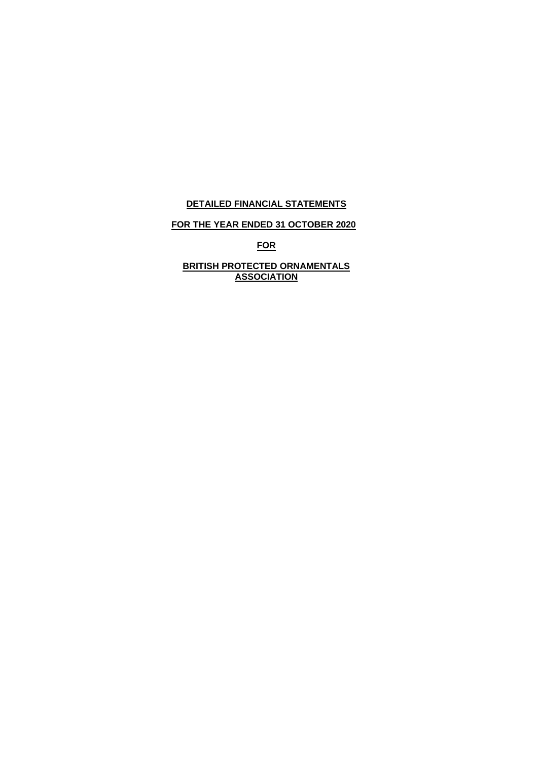## **DETAILED FINANCIAL STATEMENTS**

# **FOR THE YEAR ENDED 31 OCTOBER 2020**

**FOR**

## **BRITISH PROTECTED ORNAMENTALS ASSOCIATION**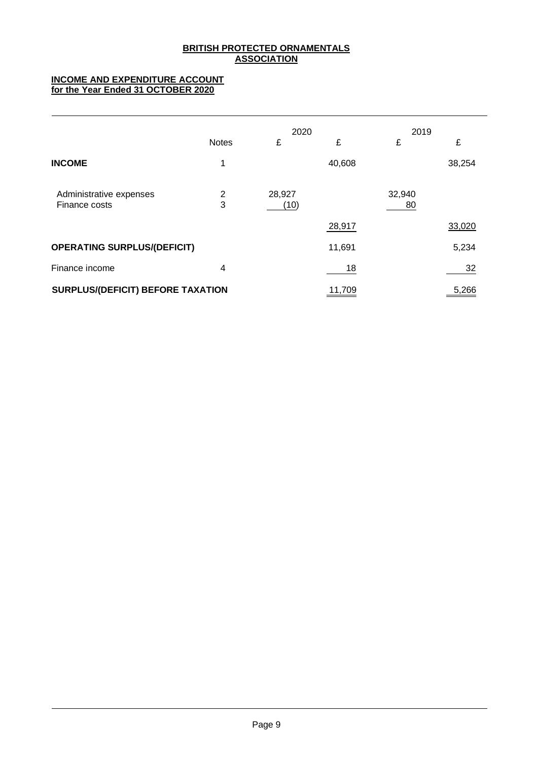## **INCOME AND EXPENDITURE ACCOUNT for the Year Ended 31 OCTOBER 2020**

|                                          |              | 2020           |        | 2019         |        |
|------------------------------------------|--------------|----------------|--------|--------------|--------|
|                                          | <b>Notes</b> | £              | £      | £            | £      |
| <b>INCOME</b>                            | 1            |                | 40,608 |              | 38,254 |
| Administrative expenses<br>Finance costs | 2<br>3       | 28,927<br>(10) |        | 32,940<br>80 |        |
|                                          |              |                | 28,917 |              | 33,020 |
| <b>OPERATING SURPLUS/(DEFICIT)</b>       |              |                | 11,691 |              | 5,234  |
| Finance income                           | 4            |                | 18     |              | 32     |
| <b>SURPLUS/(DEFICIT) BEFORE TAXATION</b> |              |                | 11,709 |              | 5,266  |